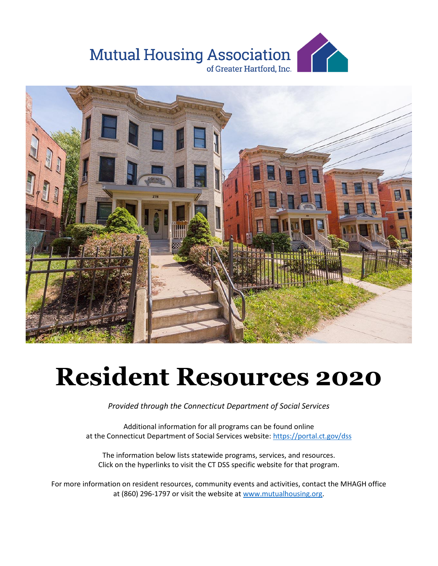



# **Resident Resources 2020**

*Provided through the Connecticut Department of Social Services*

Additional information for all programs can be found online at the Connecticut Department of Social Services website[: https://portal.ct.gov/dss](https://portal.ct.gov/dss)

The information below lists statewide programs, services, and resources. Click on the hyperlinks to visit the CT DSS specific website for that program.

For more information on resident resources, community events and activities, contact the MHAGH office at (860) 296-1797 or visit the website at [www.mutualhousing.org.](www.mutualhousing.org)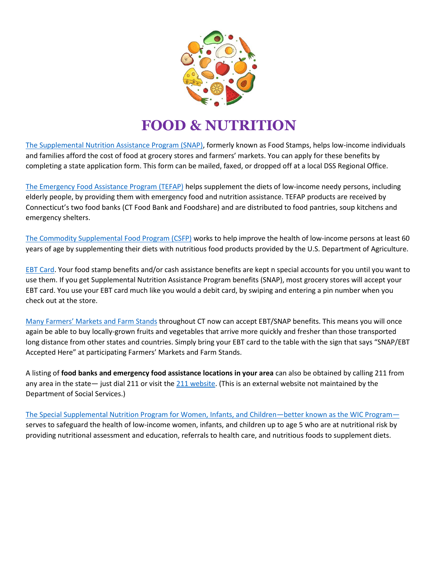

### **FOOD & NUTRITION**

[The Supplemental Nutrition Assistance Program \(SNAP\),](https://portal.ct.gov/dss/SNAP/Supplemental-Nutrition-Assistance-Program---SNAP) formerly known as Food Stamps, helps low-income individuals and families afford the cost of food at grocery stores and farmers' markets. You can apply for these benefits by completing a state application form. This form can be mailed, faxed, or dropped off at a local DSS Regional Office.

[The Emergency Food Assistance Program \(TEFAP\)](https://www.fns.usda.gov/tefap/emergency-food-assistance-program) helps supplement the diets of low-income needy persons, including elderly people, by providing them with emergency food and nutrition assistance. TEFAP products are received by Connecticut's two food banks (CT Food Bank and Foodshare) and are distributed to food pantries, soup kitchens and emergency shelters.

[The Commodity Supplemental Food Program \(CSFP\)](https://www.fns.usda.gov/csfp/commodity-supplemental-food-program) works to help improve the health of low-income persons at least 60 years of age by supplementing their diets with nutritious food products provided by the U.S. Department of Agriculture.

[EBT Card.](https://www.connectebt.com/ctebtclient/) Your food stamp benefits and/or cash assistance benefits are kept n special accounts for you until you want to use them. If you get Supplemental Nutrition Assistance Program benefits (SNAP), most grocery stores will accept your EBT card. You use your EBT card much like you would a debit card, by swiping and entering a pin number when you check out at the store.

[Many Farmers' Markets and Farm Stands](https://portal.ct.gov/DSS/SNAP/Farmers-Markets) throughout CT now can accept EBT/SNAP benefits. This means you will once again be able to buy locally-grown fruits and vegetables that arrive more quickly and fresher than those transported long distance from other states and countries. Simply bring your EBT card to the table with the sign that says "SNAP/EBT Accepted Here" at participating Farmers' Markets and Farm Stands.

A listing of **food banks and emergency food assistance locations in your area** can also be obtained by calling 211 from any area in the state— just dial 211 or visit th[e 211 website.](https://www.211ct.org/) (This is an external website not maintained by the Department of Social Services.)

[The Special Supplemental Nutrition Program for Women, Infants, and Children](https://portal.ct.gov/DPH/WIC/WIC)—better known as the WIC Program serves to safeguard the health of low-income women, infants, and children up to age 5 who are at nutritional risk by providing nutritional assessment and education, referrals to health care, and nutritious foods to supplement diets.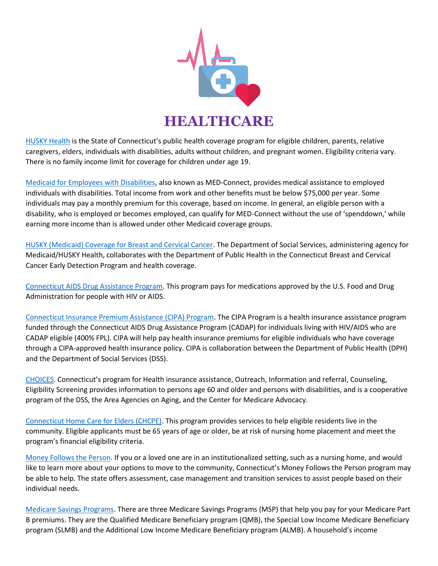

[HUSKY Health](https://www.huskyhealthct.org/provider_lookup.html) is the State of Connecticut's public health coverage program for eligible children, parents, relative caregivers, elders, individuals with disabilities, adults without children, and pregnant women. Eligibility criteria vary. There is no family income limit for coverage for children under age 19.

[Medicaid for Employees with Disabilities,](https://portal.ct.gov/DSS/Health-And-Home-Care/Disability-Services/Med-Connect-Medicaid-for-Employees-with-Disabilities/Med-Connect-Medicaid-for-Employees-with-Disabilities) also known as MED-Connect, provides medical assistance to employed individuals with disabilities. Total income from work and other benefits must be below \$75,000 per year. Some individuals may pay a monthly premium for this coverage, based on income. In general, an eligible person with a disability, who is employed or becomes employed, can qualify for MED-Connect without the use of 'spenddown,' while earning more income than is allowed under other Medicaid coverage groups.

[HUSKY \(Medicaid\) Coverage for Breast and Cervical Cancer.](https://portal.ct.gov/DSS/Health-And-Home-Care/HUSKY-Coverage-for-Breast-and-Cervical-Cancer) The Department of Social Services, administering agency for Medicaid/HUSKY Health, collaborates with the Department of Public Health in the Connecticut Breast and Cervical Cancer Early Detection Program and health coverage.

[Connecticut AIDS Drug Assistance Program.](https://portal.ct.gov/DSS/Health-And-Home-Care/CADAP/Connecticut-AIDS-Drug-Assistance-Program-CADAP) This program pays for medications approved by the U.S. Food and Drug Administration for people with HIV or AIDS.

[Connecticut Insurance Premium Assistance \(CIPA\) Program.](https://www.mycipa.com/) The CIPA Program is a health insurance assistance program funded through the Connecticut AIDS Drug Assistance Program (CADAP) for individuals living with HIV/AIDS who are CADAP eligible (400% FPL). CIPA will help pay health insurance premiums for eligible individuals who have coverage through a CIPA-approved health insurance policy. CIPA is collaboration between the Department of Public Health (DPH) and the Department of Social Services (DSS).

[CHOICES.](https://portal.ct.gov/AgingandDisability/Content-Pages/Programs/CHOICES-Connecticuts-program-for-Health-insurance-assistance-Outreach-Information-and-referral-Couns) Connecticut's program for Health insurance assistance, Outreach, Information and referral, Counseling, Eligibility Screening provides information to persons age 60 and older and persons with disabilities, and is a cooperative program of the DSS, the Area Agencies on Aging, and the Center for Medicare Advocacy.

[Connecticut Home Care for Elders \(CHCPE\).](https://portal.ct.gov/dss/Health-And-Home-Care/Connecticut-Home-Care-Program-for-Elders/Connecticut-Home-Care-Program-for-Elders-CHCPE) This program provides services to help eligible residents live in the community. Eligible applicants must be 65 years of age or older, be at risk of nursing home placement and meet the program's financial eligibility criteria.

[Money Follows the Person.](https://portal.ct.gov/DSS/Health-And-Home-Care/Money-Follows-the-Person-Program/Money-Follows-the-Person-Program) If you or a loved one are in an institutionalized setting, such as a nursing home, and would like to learn more about your options to move to the community, Connecticut's Money Follows the Person program may be able to help. The state offers assessment, case management and transition services to assist people based on their individual needs.

[Medicare Savings Programs.](https://portal.ct.gov/DSS/Health-And-Home-Care/Medicare-Savings-Program/Medicare-Savings-Program) There are three Medicare Savings Programs (MSP) that help you pay for your Medicare Part B premiums. They are the Qualified Medicare Beneficiary program (QMB), the Special Low Income Medicare Beneficiary program (SLMB) and the Additional Low Income Medicare Beneficiary program (ALMB). A household's income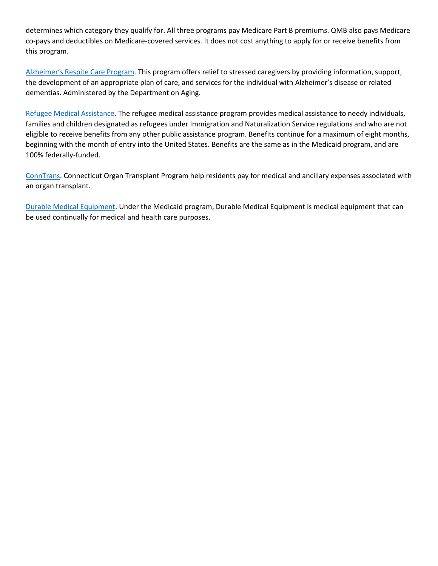determines which category they qualify for. All three programs pay Medicare Part B premiums. QMB also pays Medicare co-pays and deductibles on Medicare-covered services. It does not cost anything to apply for or receive benefits from this program.

[Alzheimer's Respite Care Program](https://portal.ct.gov/AgingandDisability/Content-Pages/Programs/Connecticut-Statewide-Respite-Care-Program). This program offers relief to stressed caregivers by providing information, support, the development of an appropriate plan of care, and services for the individual with Alzheimer's disease or related dementias. Administered by the Department on Aging.

[Refugee Medical Assistance.](https://portal.ct.gov/DPH/Infectious-Diseases/Tuberculosis/Refugee-and-Immigrant-Health-Program) The refugee medical assistance program provides medical assistance to needy individuals, families and children designated as refugees under Immigration and Naturalization Service regulations and who are not eligible to receive benefits from any other public assistance program. Benefits continue for a maximum of eight months, beginning with the month of entry into the United States. Benefits are the same as in the Medicaid program, and are 100% federally-funded.

[ConnTrans.](https://uwc.211ct.org/conntrans-connecticut-program-for-organ-transplant-recipients/) Connecticut Organ Transplant Program help residents pay for medical and ancillary expenses associated with an organ transplant.

[Durable Medical Equipment.](https://portal.ct.gov/DSS/Health-And-Home-Care/Disability-Services/Durable-Medical-Equipment) Under the Medicaid program, Durable Medical Equipment is medical equipment that can be used continually for medical and health care purposes.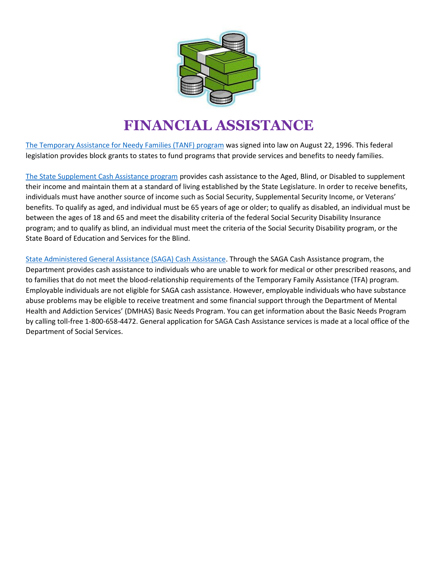

## **FINANCIAL ASSISTANCE**

[The Temporary Assistance for Needy Families \(TANF\) program](https://www.benefits.gov/benefit/1654) was signed into law on August 22, 1996. This federal legislation provides block grants to states to fund programs that provide services and benefits to needy families.

[The State Supplement Cash Assistance program](https://portal.ct.gov/dss/Economic-Security/Economic-Security---Financial-Assistance#SSUP) provides cash assistance to the Aged, Blind, or Disabled to supplement their income and maintain them at a standard of living established by the State Legislature. In order to receive benefits, individuals must have another source of income such as Social Security, Supplemental Security Income, or Veterans' benefits. To qualify as aged, and individual must be 65 years of age or older; to qualify as disabled, an individual must be between the ages of 18 and 65 and meet the disability criteria of the federal Social Security Disability Insurance program; and to qualify as blind, an individual must meet the criteria of the Social Security Disability program, or the State Board of Education and Services for the Blind.

[State Administered General Assistance \(SAGA\) Cash Assistance.](https://portal.ct.gov/dss/Economic-Security/Economic-Security---Financial-Assistance#SAG) Through the SAGA Cash Assistance program, the Department provides cash assistance to individuals who are unable to work for medical or other prescribed reasons, and to families that do not meet the blood-relationship requirements of the Temporary Family Assistance (TFA) program. Employable individuals are not eligible for SAGA cash assistance. However, employable individuals who have substance abuse problems may be eligible to receive treatment and some financial support through the Department of Mental Health and Addiction Services' (DMHAS) Basic Needs Program. You can get information about the Basic Needs Program by calling toll-free 1-800-658-4472. General application for SAGA Cash Assistance services is made at a local office of the Department of Social Services.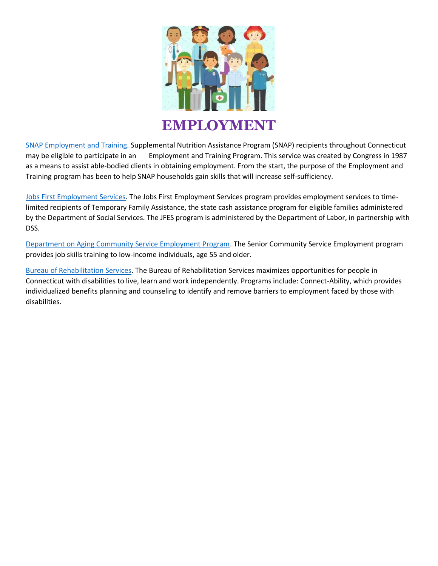

[SNAP Employment and Training.](https://portal.ct.gov/DSS/SNAP/SNAP-Employment-and-Training) Supplemental Nutrition Assistance Program (SNAP) recipients throughout Connecticut may be eligible to participate in an Employment and Training Program. This service was created by Congress in 1987 as a means to assist able-bodied clients in obtaining employment. From the start, the purpose of the Employment and Training program has been to help SNAP households gain skills that will increase self-sufficiency.

[Jobs First Employment Services.](http://www.ctdol.state.ct.us/weltowrk/overview.htm) The Jobs First Employment Services program provides employment services to timelimited recipients of Temporary Family Assistance, the state cash assistance program for eligible families administered by the Department of Social Services. The JFES program is administered by the Department of Labor, in partnership with DSS.

[Department on Aging Community Service Employment Program.](https://portal.ct.gov/AgingandDisability/Content-Pages/Programs/Older-Worker-Program) The Senior Community Service Employment program provides job skills training to low-income individuals, age 55 and older.

Bureau [of Rehabilitation Services.](https://portal.ct.gov/AgingandDisability/Content-Pages/Bureaus/Bureau-of-Rehabilitation-Services) The Bureau of Rehabilitation Services maximizes opportunities for people in Connecticut with disabilities to live, learn and work independently. Programs include: Connect-Ability, which provides individualized benefits planning and counseling to identify and remove barriers to employment faced by those with disabilities.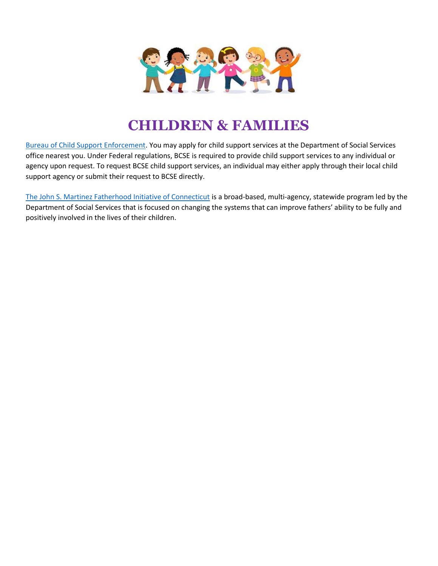

#### **CHILDREN & FAMILIES**

[Bureau of Child Support Enforcement.](https://portal.ct.gov/dss/Child-Support/Child-Support) You may apply for child support services at the Department of Social Services office nearest you. Under Federal regulations, BCSE is required to provide child support services to any individual or agency upon request. To request BCSE child support services, an individual may either apply through their local child support agency or submit their request to BCSE directly.

[The John S. Martinez Fatherhood Initiative of Connecticut](https://www.ct.gov/fatherhood/cwp/view.asp?a=4113&q=481586) is a broad-based, multi-agency, statewide program led by the Department of Social Services that is focused on changing the systems that can improve fathers' ability to be fully and positively involved in the lives of their children.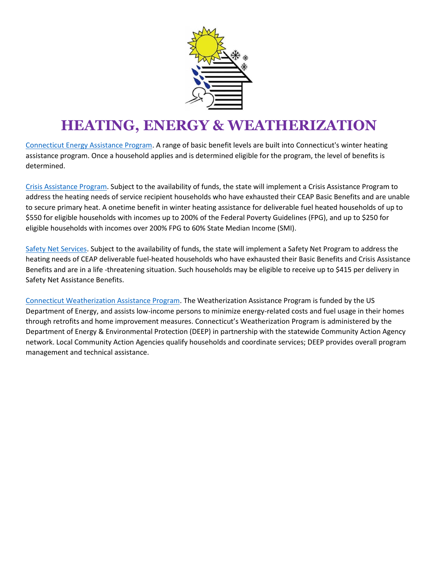

## **HEATING, ENERGY & WEATHERIZATION**

[Connecticut Energy Assistance Program.](https://www.benefits.gov/benefit/1552) A range of basic benefit levels are built into Connecticut's winter heating assistance program. Once a household applies and is determined eligible for the program, the level of benefits is determined.

[Crisis Assistance Program.](https://portal.ct.gov/DSS/Economic-Security/Winter-Heating-Assistance/Energy-Assistance---Crisis-Assistance-Program) Subject to the availability of funds, the state will implement a Crisis Assistance Program to address the heating needs of service recipient households who have exhausted their CEAP Basic Benefits and are unable to secure primary heat. A onetime benefit in winter heating assistance for deliverable fuel heated households of up to \$550 for eligible households with incomes up to 200% of the Federal Poverty Guidelines (FPG), and up to \$250 for eligible households with incomes over 200% FPG to 60% State Median Income (SMI).

[Safety Net Services.](https://portal.ct.gov/DSS/Economic-Security/Winter-Heating-Assistance/Energy-Assistance---Safety-Net-Services) Subject to the availability of funds, the state will implement a Safety Net Program to address the heating needs of CEAP deliverable fuel-heated households who have exhausted their Basic Benefits and Crisis Assistance Benefits and are in a life -threatening situation. Such households may be eligible to receive up to \$415 per delivery in Safety Net Assistance Benefits.

[Connecticut Weatherization Assistance Program.](https://www.benefits.gov/benefit/2084) The Weatherization Assistance Program is funded by the US Department of Energy, and assists low-income persons to minimize energy-related costs and fuel usage in their homes through retrofits and home improvement measures. Connecticut's Weatherization Program is administered by the Department of Energy & Environmental Protection (DEEP) in partnership with the statewide Community Action Agency network. Local Community Action Agencies qualify households and coordinate services; DEEP provides overall program management and technical assistance.